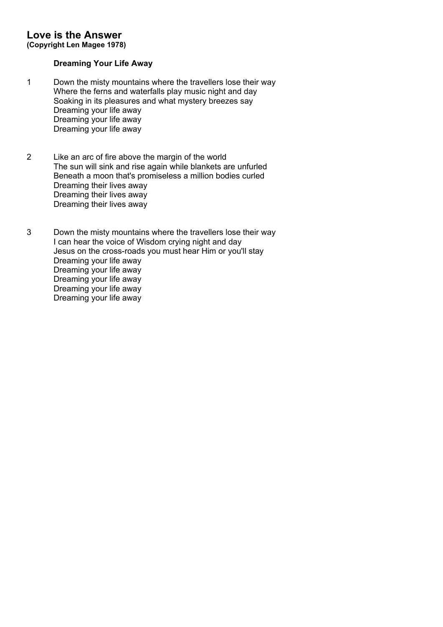# **Love is the Answer**

**(Copyright Len Magee 1978)**

# **Dreaming Your Life Away**

- 1 Down the misty mountains where the travellers lose their way Where the ferns and waterfalls play music night and day Soaking in its pleasures and what mystery breezes say Dreaming your life away Dreaming your life away Dreaming your life away
- 2 Like an arc of fire above the margin of the world The sun will sink and rise again while blankets are unfurled Beneath a moon that's promiseless a million bodies curled Dreaming their lives away Dreaming their lives away Dreaming their lives away
- 3 Down the misty mountains where the travellers lose their way I can hear the voice of Wisdom crying night and day Jesus on the cross-roads you must hear Him or you'll stay Dreaming your life away Dreaming your life away Dreaming your life away Dreaming your life away Dreaming your life away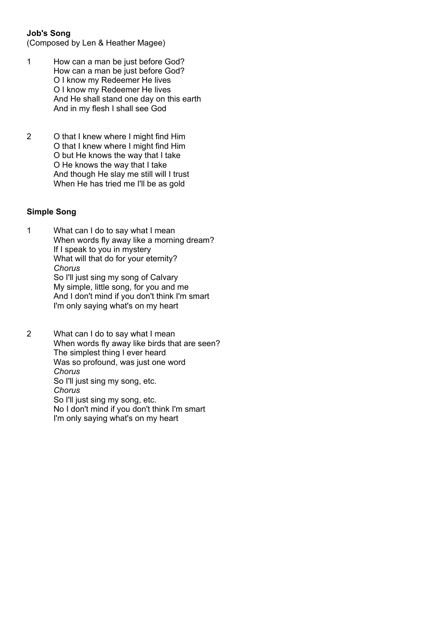# **Job's Song**

(Composed by Len & Heather Magee)

- 1 How can a man be just before God? How can a man be just before God? O I know my Redeemer He lives O I know my Redeemer He lives And He shall stand one day on this earth And in my flesh I shall see God
- 2 O that I knew where I might find Him O that I knew where I might find Him O but He knows the way that I take O He knows the way that I take And though He slay me still will I trust When He has tried me I'll be as gold

#### **Simple Song**

1 What can I do to say what I mean When words fly away like a morning dream? If I speak to you in mystery What will that do for your eternity? *Chorus* So I'll just sing my song of Calvary My simple, little song, for you and me And I don't mind if you don't think I'm smart I'm only saying what's on my heart

2 What can I do to say what I mean When words fly away like birds that are seen? The simplest thing I ever heard Was so profound, was just one word *Chorus* So I'll just sing my song, etc. *Chorus* So I'll just sing my song, etc. No I don't mind if you don't think I'm smart I'm only saying what's on my heart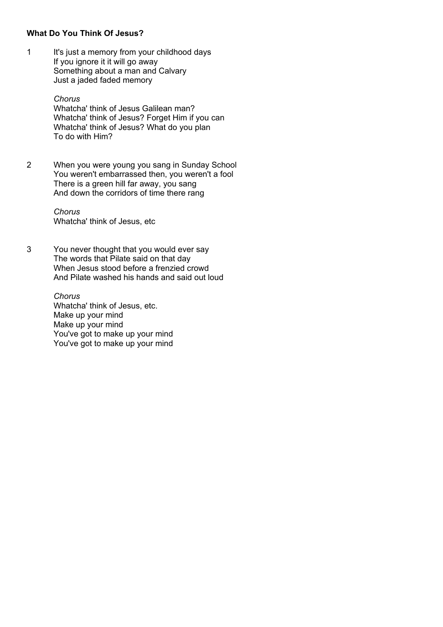### **What Do You Think Of Jesus?**

1 It's just a memory from your childhood days If you ignore it it will go away Something about a man and Calvary Just a jaded faded memory

> *Chorus* Whatcha' think of Jesus Galilean man? Whatcha' think of Jesus? Forget Him if you can Whatcha' think of Jesus? What do you plan To do with Him?

2 When you were young you sang in Sunday School You weren't embarrassed then, you weren't a fool There is a green hill far away, you sang And down the corridors of time there rang

> *Chorus* Whatcha' think of Jesus, etc

3 You never thought that you would ever say The words that Pilate said on that day When Jesus stood before a frenzied crowd And Pilate washed his hands and said out loud

> *Chorus* Whatcha' think of Jesus, etc. Make up your mind Make up your mind You've got to make up your mind You've got to make up your mind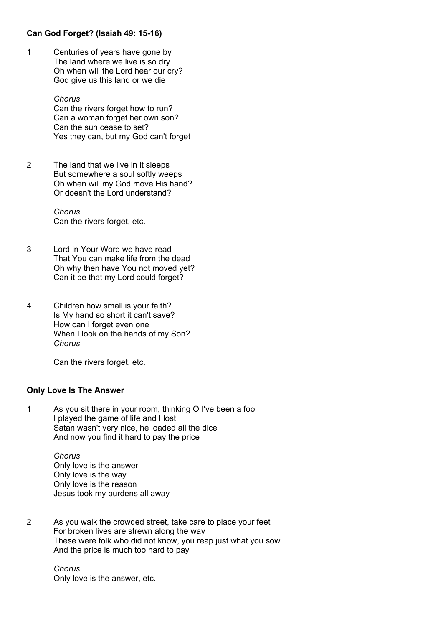# **Can God Forget? (Isaiah 49: 15-16)**

1 Centuries of years have gone by The land where we live is so dry Oh when will the Lord hear our cry? God give us this land or we die

> *Chorus* Can the rivers forget how to run? Can a woman forget her own son? Can the sun cease to set? Yes they can, but my God can't forget

2 The land that we live in it sleeps But somewhere a soul softly weeps Oh when will my God move His hand? Or doesn't the Lord understand?

> *Chorus* Can the rivers forget, etc.

- 3 Lord in Your Word we have read That You can make life from the dead Oh why then have You not moved yet? Can it be that my Lord could forget?
- 4 Children how small is your faith? Is My hand so short it can't save? How can I forget even one When I look on the hands of my Son? *Chorus*

Can the rivers forget, etc.

#### **Only Love Is The Answer**

1 As you sit there in your room, thinking O I've been a fool I played the game of life and I lost Satan wasn't very nice, he loaded all the dice And now you find it hard to pay the price

> *Chorus* Only love is the answer Only love is the way Only love is the reason Jesus took my burdens all away

2 As you walk the crowded street, take care to place your feet For broken lives are strewn along the way These were folk who did not know, you reap just what you sow And the price is much too hard to pay

> *Chorus* Only love is the answer, etc.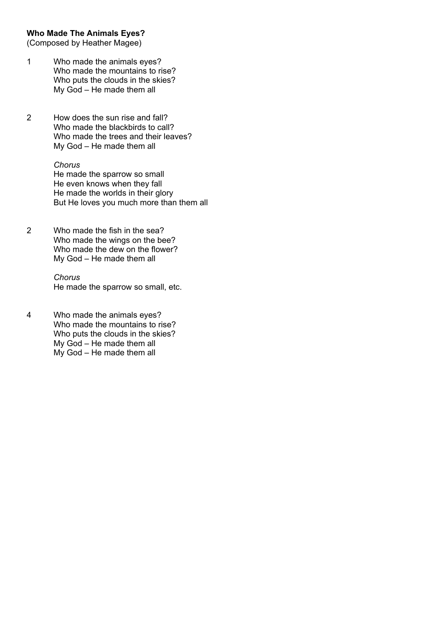#### **Who Made The Animals Eyes?**

(Composed by Heather Magee)

- 1 Who made the animals eyes? Who made the mountains to rise? Who puts the clouds in the skies? My God – He made them all
- 2 How does the sun rise and fall? Who made the blackbirds to call? Who made the trees and their leaves? My God – He made them all

#### *Chorus*

He made the sparrow so small He even knows when they fall He made the worlds in their glory But He loves you much more than them all

2 Who made the fish in the sea? Who made the wings on the bee? Who made the dew on the flower? My God – He made them all

> *Chorus* He made the sparrow so small, etc.

4 Who made the animals eyes? Who made the mountains to rise? Who puts the clouds in the skies? My God – He made them all My God – He made them all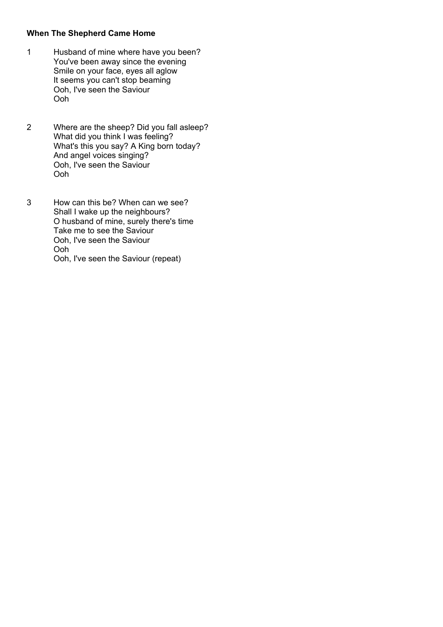# **When The Shepherd Came Home**

- 1 Husband of mine where have you been? You've been away since the evening Smile on your face, eyes all aglow It seems you can't stop beaming Ooh, I've seen the Saviour Ooh
- 2 Where are the sheep? Did you fall asleep? What did you think I was feeling? What's this you say? A King born today? And angel voices singing? Ooh, I've seen the Saviour Ooh
- 3 How can this be? When can we see? Shall I wake up the neighbours? O husband of mine, surely there's time Take me to see the Saviour Ooh, I've seen the Saviour Ooh Ooh, I've seen the Saviour (repeat)